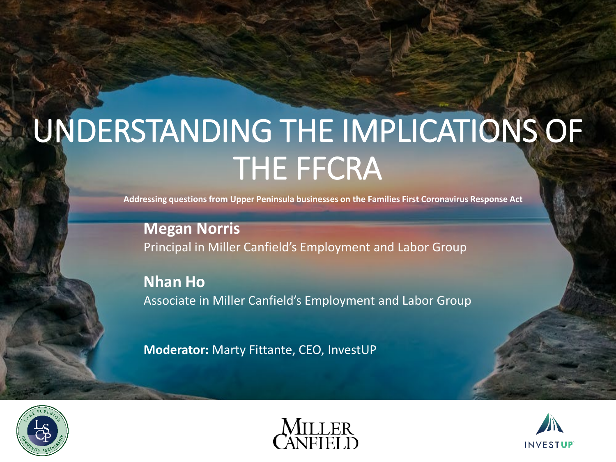### UNDERSTANDING THE IMPLICATIONS OF THE FFCRA

**Addressing questions from Upper Peninsula businesses on the Families First Coronavirus Response Act**

**Megan Norris** Principal in Miller Canfield's Employment and Labor Group

**Nhan Ho** Associate in Miller Canfield's Employment and Labor Group

**Moderator:** Marty Fittante, CEO, InvestUP





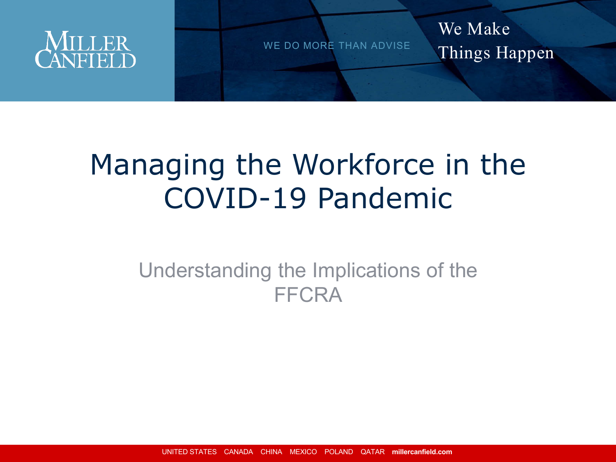

We Make Things Happen

### Managing the Workforce in the COVID-19 Pandemic

### Understanding the Implications of the FFCRA

UNITED STATES CANADA CHINA MEXICO POLAND QATAR **millercanfield.com**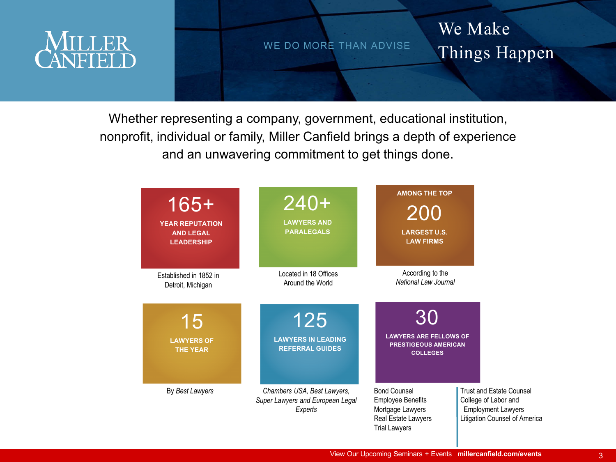

#### We Make Things Happen

Whether representing a company, government, educational institution, nonprofit, individual or family, Miller Canfield brings a depth of experience and an unwavering commitment to get things done.

| $165+$<br><b>YEAR REPUTATION</b><br><b>AND LEGAL</b><br><b>LEADERSHIP</b> | $240+$<br><b>LAWYERS AND</b><br><b>PARALEGALS</b>                          | <b>AMONG THE TOP</b><br>200<br><b>LARGEST U.S.</b><br><b>LAW FIRMS</b>                                             |                                                                                                                       |
|---------------------------------------------------------------------------|----------------------------------------------------------------------------|--------------------------------------------------------------------------------------------------------------------|-----------------------------------------------------------------------------------------------------------------------|
| Established in 1852 in<br>Detroit, Michigan                               | Located in 18 Offices<br>Around the World                                  | According to the<br>National Law Journal                                                                           |                                                                                                                       |
| 15<br><b>LAWYERS OF</b><br><b>THE YEAR</b>                                | 125<br><b>LAWYERS IN LEADING</b><br><b>REFERRAL GUIDES</b>                 | 30<br><b>LAWYERS ARE FELLOWS OF</b><br><b>PRESTIGEOUS AMERICAN</b><br><b>COLLEGES</b>                              |                                                                                                                       |
| By Best Lawyers                                                           | Chambers USA, Best Lawyers,<br>Super Lawyers and European Legal<br>Experts | <b>Bond Counsel</b><br><b>Employee Benefits</b><br>Mortgage Lawyers<br>Real Estate Lawyers<br><b>Trial Lawyers</b> | <b>Trust and Estate Counsel</b><br>College of Labor and<br><b>Employment Lawyers</b><br>Litigation Counsel of America |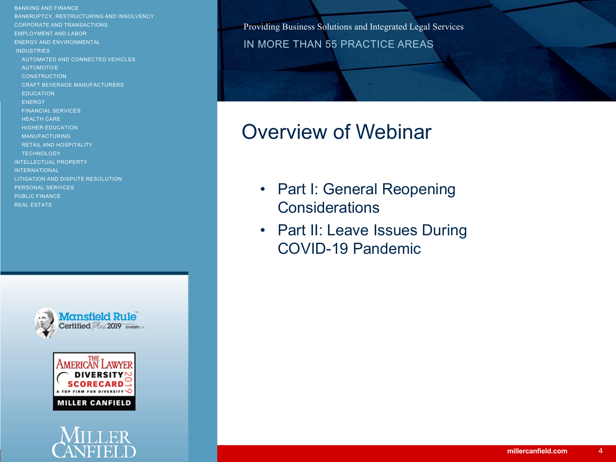BANKING AND FINANCE BANKRUPTCY, RESTRUCTURING AND INSOLVENCY CORPORATE AND TRANSACTIONS EMPLOYMENT AND LABOR ENERGY AND ENVIRONMENTAL **INDUSTRIES** AUTOMATED AND CONNECTED VEHICLES AUTOMOTIVE **CONSTRUCTION** CRAFT BEVERAGE MANUFACTURERS EDUCATION **ENERGY** FINANCIAL SERVICES HEALTH CARE HIGHER EDUCATION MANUFACTURING RETAIL AND HOSPITALITY **TECHNOLOGY** INTELLECTUAL PROPERTY INTERNATIONAL LITIGATION AND DISPUTE RESOLUTION PERSONAL SERVICES PUBLIC FINANCE REAL ESTATE



# **MILLER CANFIELD**



Providing Business Solutions and Integrated Legal Services<br>
IN MODE THAN EE DDACTICE ADEAS IN MORE THAN 55 PRACTICE AREAS

### Overview of Webinar

- Part I: General Reopening **Considerations**
- Part II: Leave Issues During COVID-19 Pandemic

4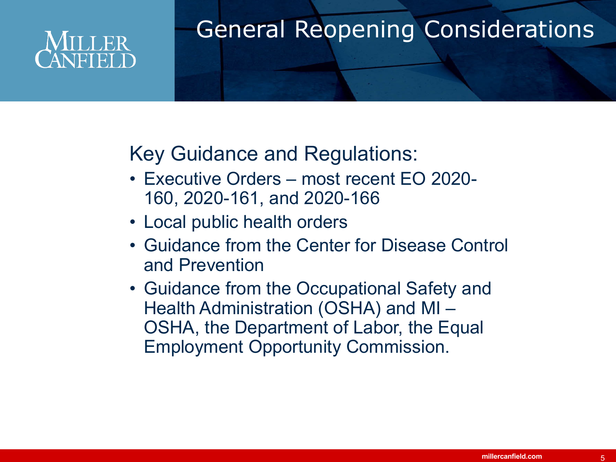### General Reopening Considerations

Key Guidance and Regulations:

- Executive Orders most recent EO 2020- 160, 2020-161, and 2020-166
- Local public health orders
- Guidance from the Center for Disease Control and Prevention
- Guidance from the Occupational Safety and Health Administration (OSHA) and MI – OSHA, the Department of Labor, the Equal Employment Opportunity Commission.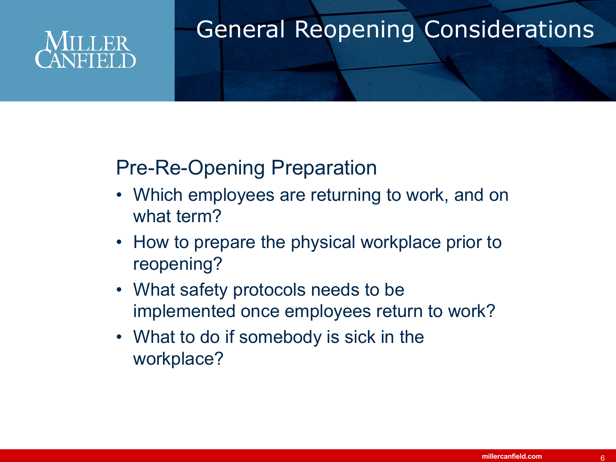## ER

### General Reopening Considerations

### Pre-Re-Opening Preparation

- Which employees are returning to work, and on what term?
- How to prepare the physical workplace prior to reopening?
- What safety protocols needs to be implemented once employees return to work?
- What to do if somebody is sick in the workplace?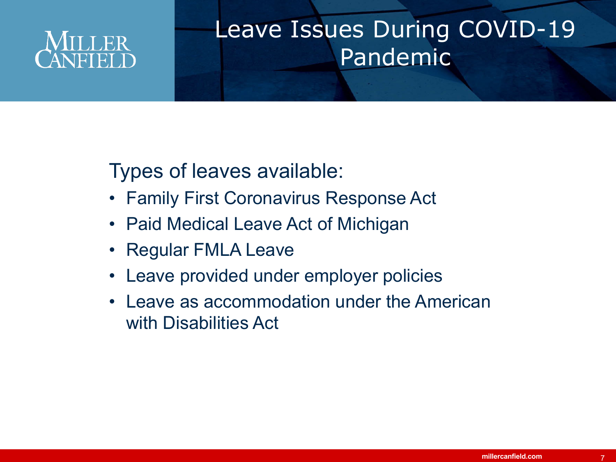

### Leave Issues During COVID-19 Pandemic

### Types of leaves available:

- Family First Coronavirus Response Act
- Paid Medical Leave Act of Michigan
- Regular FMLA Leave
- Leave provided under employer policies
- Leave as accommodation under the American with Disabilities Act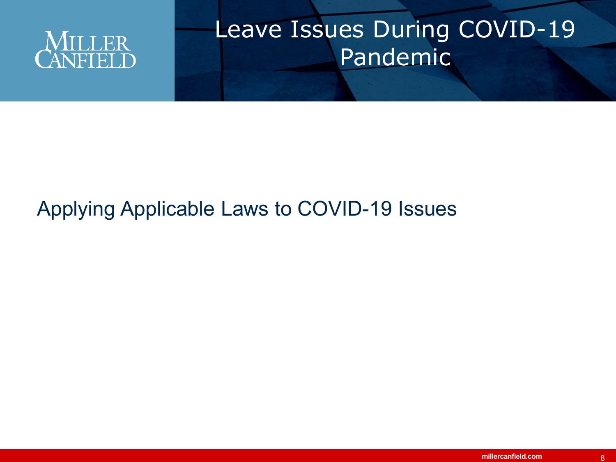

### Leave Issues During COVID-19 Pandemic

### Applying Applicable Laws to COVID-19 Issues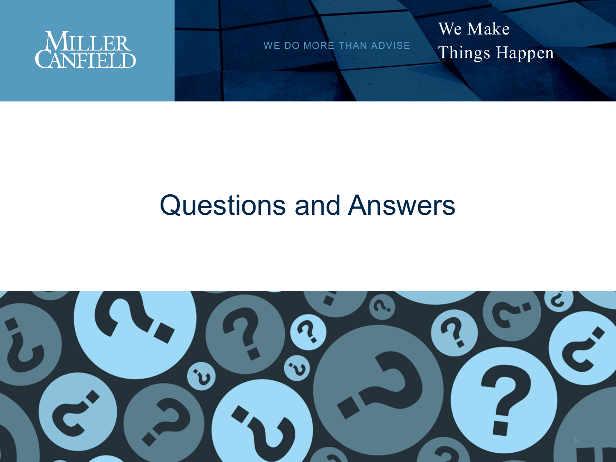

We Make Things Happen

### Questions and Answers